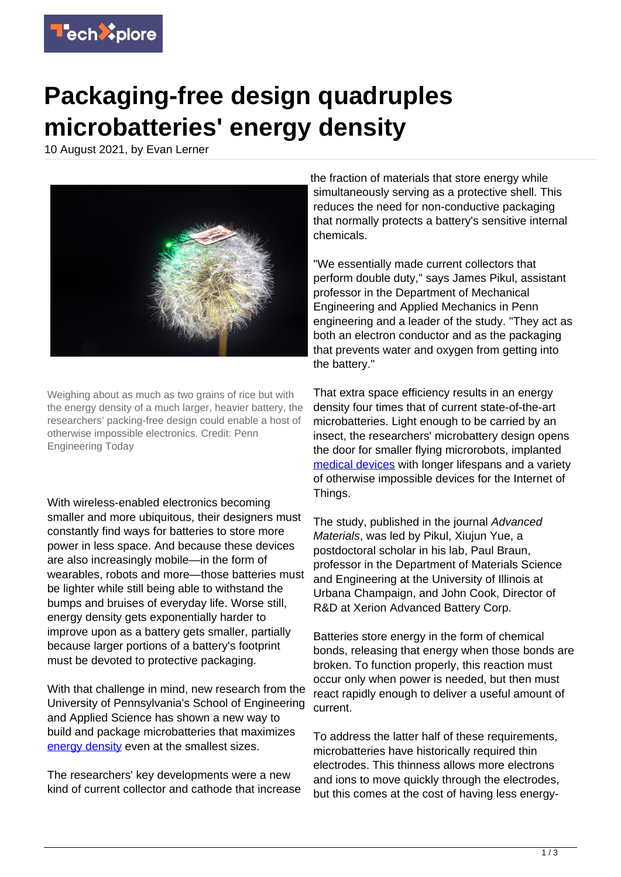

## **Packaging-free design quadruples microbatteries' energy density**

10 August 2021, by Evan Lerner



Weighing about as much as two grains of rice but with the energy density of a much larger, heavier battery, the researchers' packing-free design could enable a host of otherwise impossible electronics. Credit: Penn Engineering Today

With wireless-enabled electronics becoming smaller and more ubiquitous, their designers must constantly find ways for batteries to store more power in less space. And because these devices are also increasingly mobile—in the form of wearables, robots and more—those batteries must be lighter while still being able to withstand the bumps and bruises of everyday life. Worse still, energy density gets exponentially harder to improve upon as a battery gets smaller, partially because larger portions of a battery's footprint must be devoted to protective packaging.

With that challenge in mind, new research from the University of Pennsylvania's School of Engineering and Applied Science has shown a new way to build and package microbatteries that maximizes [energy density](https://techxplore.com/tags/energy+density/) even at the smallest sizes.

The researchers' key developments were a new kind of current collector and cathode that increase the fraction of materials that store energy while simultaneously serving as a protective shell. This reduces the need for non-conductive packaging that normally protects a battery's sensitive internal chemicals.

"We essentially made current collectors that perform double duty," says James Pikul, assistant professor in the Department of Mechanical Engineering and Applied Mechanics in Penn engineering and a leader of the study. "They act as both an electron conductor and as the packaging that prevents water and oxygen from getting into the battery."

That extra space efficiency results in an energy density four times that of current state-of-the-art microbatteries. Light enough to be carried by an insect, the researchers' microbattery design opens the door for smaller flying microrobots, implanted [medical devices](https://techxplore.com/tags/medical+devices/) with longer lifespans and a variety of otherwise impossible devices for the Internet of Things.

The study, published in the journal Advanced Materials, was led by Pikul, Xiujun Yue, a postdoctoral scholar in his lab, Paul Braun, professor in the Department of Materials Science and Engineering at the University of Illinois at Urbana Champaign, and John Cook, Director of R&D at Xerion Advanced Battery Corp.

Batteries store energy in the form of chemical bonds, releasing that energy when those bonds are broken. To function properly, this reaction must occur only when power is needed, but then must react rapidly enough to deliver a useful amount of current.

To address the latter half of these requirements, microbatteries have historically required thin electrodes. This thinness allows more electrons and ions to move quickly through the electrodes, but this comes at the cost of having less energy-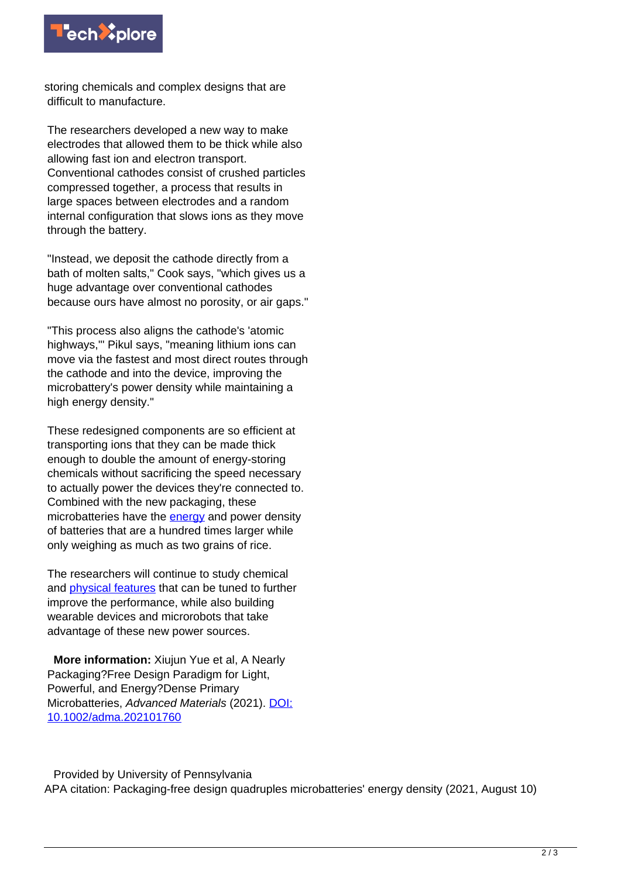

storing chemicals and complex designs that are difficult to manufacture.

The researchers developed a new way to make electrodes that allowed them to be thick while also allowing fast ion and electron transport. Conventional cathodes consist of crushed particles compressed together, a process that results in large spaces between electrodes and a random internal configuration that slows ions as they move through the battery.

"Instead, we deposit the cathode directly from a bath of molten salts," Cook says, "which gives us a huge advantage over conventional cathodes because ours have almost no porosity, or air gaps."

"This process also aligns the cathode's 'atomic highways,'" Pikul says, "meaning lithium ions can move via the fastest and most direct routes through the cathode and into the device, improving the microbattery's power density while maintaining a high energy density."

These redesigned components are so efficient at transporting ions that they can be made thick enough to double the amount of energy-storing chemicals without sacrificing the speed necessary to actually power the devices they're connected to. Combined with the new packaging, these microbatteries have the [energy](https://techxplore.com/tags/energy/) and power density of batteries that are a hundred times larger while only weighing as much as two grains of rice.

The researchers will continue to study chemical and [physical features](https://techxplore.com/tags/physical+features/) that can be tuned to further improve the performance, while also building wearable devices and microrobots that take advantage of these new power sources.

 **More information:** Xiujun Yue et al, A Nearly Packaging?Free Design Paradigm for Light, Powerful, and Energy?Dense Primary Microbatteries, Advanced Materials (2021). [DOI:](http://dx.doi.org/10.1002/adma.202101760) [10.1002/adma.202101760](http://dx.doi.org/10.1002/adma.202101760)

 Provided by University of Pennsylvania APA citation: Packaging-free design quadruples microbatteries' energy density (2021, August 10)